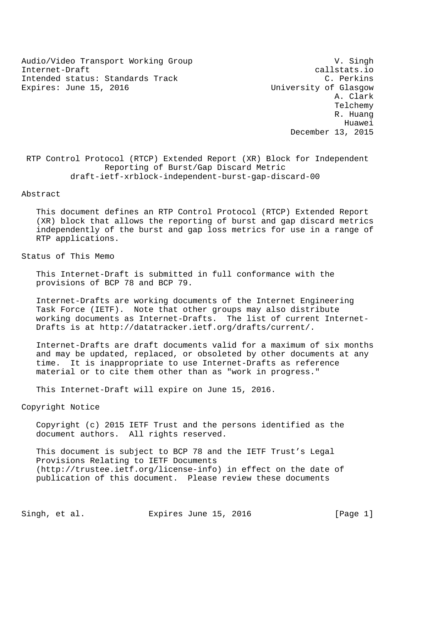Audio/Video Transport Working Group v. Singh Internet-Draft callstats.io Intended status: Standards Track C. Perkins Expires: June 15, 2016 Change Controller Music University of Glasgow

 A. Clark Telchemy R. Huang Huawei December 13, 2015

 RTP Control Protocol (RTCP) Extended Report (XR) Block for Independent Reporting of Burst/Gap Discard Metric draft-ietf-xrblock-independent-burst-gap-discard-00

Abstract

 This document defines an RTP Control Protocol (RTCP) Extended Report (XR) block that allows the reporting of burst and gap discard metrics independently of the burst and gap loss metrics for use in a range of RTP applications.

Status of This Memo

 This Internet-Draft is submitted in full conformance with the provisions of BCP 78 and BCP 79.

 Internet-Drafts are working documents of the Internet Engineering Task Force (IETF). Note that other groups may also distribute working documents as Internet-Drafts. The list of current Internet- Drafts is at http://datatracker.ietf.org/drafts/current/.

 Internet-Drafts are draft documents valid for a maximum of six months and may be updated, replaced, or obsoleted by other documents at any time. It is inappropriate to use Internet-Drafts as reference material or to cite them other than as "work in progress."

This Internet-Draft will expire on June 15, 2016.

Copyright Notice

 Copyright (c) 2015 IETF Trust and the persons identified as the document authors. All rights reserved.

 This document is subject to BCP 78 and the IETF Trust's Legal Provisions Relating to IETF Documents (http://trustee.ietf.org/license-info) in effect on the date of publication of this document. Please review these documents

Singh, et al. **Expires June 15, 2016** [Page 1]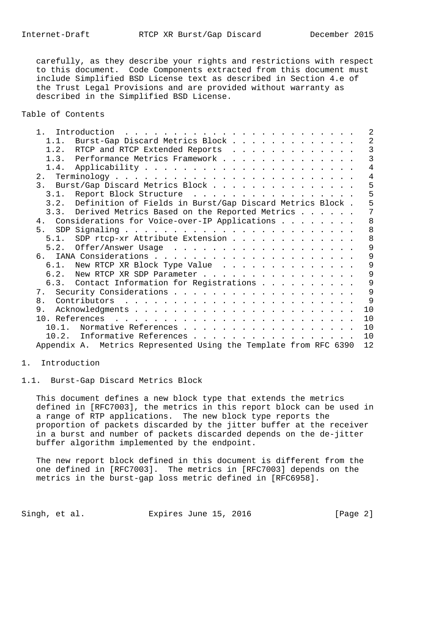carefully, as they describe your rights and restrictions with respect to this document. Code Components extracted from this document must include Simplified BSD License text as described in Section 4.e of the Trust Legal Provisions and are provided without warranty as described in the Simplified BSD License.

Table of Contents

| 1 <sup>1</sup> | Introduction                                                     |  | 2              |
|----------------|------------------------------------------------------------------|--|----------------|
| 1.1.           | Burst-Gap Discard Metrics Block                                  |  | 2              |
|                | 1.2. RTCP and RTCP Extended Reports                              |  | 3              |
|                | 1.3. Performance Metrics Framework                               |  | 3              |
|                |                                                                  |  | $\overline{4}$ |
|                |                                                                  |  | 4              |
|                | 3. Burst/Gap Discard Metrics Block                               |  | 5              |
| 3.1.           | Report Block Structure                                           |  | 5              |
|                | 3.2. Definition of Fields in Burst/Gap Discard Metrics Block.    |  | 5              |
|                | 3.3. Derived Metrics Based on the Reported Metrics               |  | 7              |
|                | 4. Considerations for Voice-over-IP Applications                 |  | 8              |
|                |                                                                  |  | 8              |
|                | 5.1. SDP rtcp-xr Attribute Extension                             |  | 8              |
| 5.2.           |                                                                  |  | 9              |
|                |                                                                  |  | 9              |
|                | 6.1. New RTCP XR Block Type Value                                |  | 9              |
|                | 6.2. New RTCP XR SDP Parameter                                   |  | 9              |
|                | 6.3. Contact Information for Registrations                       |  | 9              |
|                |                                                                  |  | 9              |
| 8.             |                                                                  |  | 9              |
| 9.             |                                                                  |  | 10             |
| 10. References |                                                                  |  | 10             |
| 10.1           | Normative References                                             |  | 10             |
| 10.2.          | Informative References                                           |  | 10             |
|                | Appendix A. Metrics Represented Using the Template from RFC 6390 |  | 12             |

#### 1. Introduction

1.1. Burst-Gap Discard Metrics Block

 This document defines a new block type that extends the metrics defined in [RFC7003], the metrics in this report block can be used in a range of RTP applications. The new block type reports the proportion of packets discarded by the jitter buffer at the receiver in a burst and number of packets discarded depends on the de-jitter buffer algorithm implemented by the endpoint.

 The new report block defined in this document is different from the one defined in [RFC7003]. The metrics in [RFC7003] depends on the metrics in the burst-gap loss metric defined in [RFC6958].

Singh, et al. Expires June 15, 2016 [Page 2]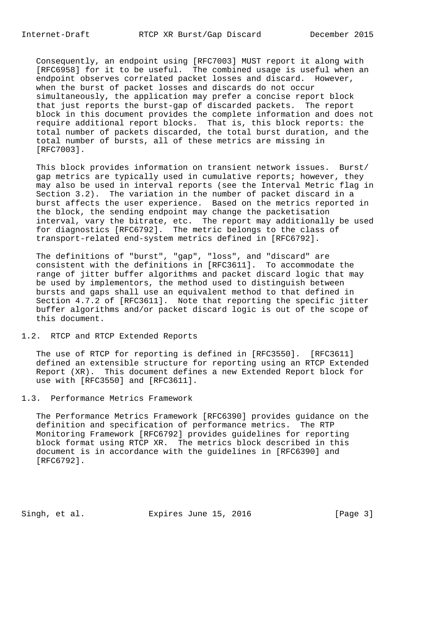Consequently, an endpoint using [RFC7003] MUST report it along with [RFC6958] for it to be useful. The combined usage is useful when an endpoint observes correlated packet losses and discard. However, when the burst of packet losses and discards do not occur simultaneously, the application may prefer a concise report block that just reports the burst-gap of discarded packets. The report block in this document provides the complete information and does not require additional report blocks. That is, this block reports: the total number of packets discarded, the total burst duration, and the total number of bursts, all of these metrics are missing in [RFC7003].

 This block provides information on transient network issues. Burst/ gap metrics are typically used in cumulative reports; however, they may also be used in interval reports (see the Interval Metric flag in Section 3.2). The variation in the number of packet discard in a burst affects the user experience. Based on the metrics reported in the block, the sending endpoint may change the packetisation interval, vary the bitrate, etc. The report may additionally be used for diagnostics [RFC6792]. The metric belongs to the class of transport-related end-system metrics defined in [RFC6792].

 The definitions of "burst", "gap", "loss", and "discard" are consistent with the definitions in [RFC3611]. To accommodate the range of jitter buffer algorithms and packet discard logic that may be used by implementors, the method used to distinguish between bursts and gaps shall use an equivalent method to that defined in Section 4.7.2 of [RFC3611]. Note that reporting the specific jitter buffer algorithms and/or packet discard logic is out of the scope of this document.

1.2. RTCP and RTCP Extended Reports

 The use of RTCP for reporting is defined in [RFC3550]. [RFC3611] defined an extensible structure for reporting using an RTCP Extended Report (XR). This document defines a new Extended Report block for use with [RFC3550] and [RFC3611].

1.3. Performance Metrics Framework

 The Performance Metrics Framework [RFC6390] provides guidance on the definition and specification of performance metrics. The RTP Monitoring Framework [RFC6792] provides guidelines for reporting block format using RTCP XR. The metrics block described in this document is in accordance with the guidelines in [RFC6390] and [RFC6792].

Singh, et al. Expires June 15, 2016 [Page 3]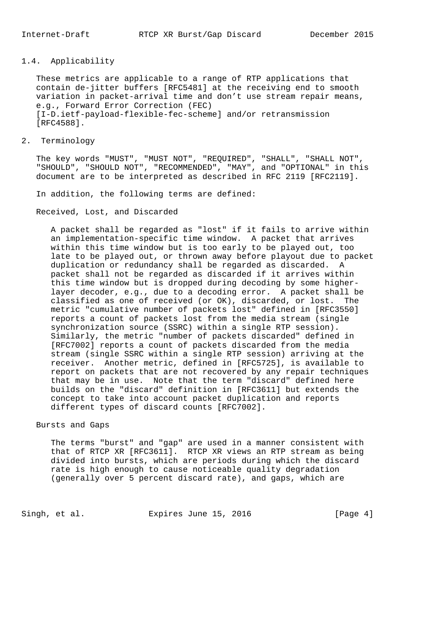# 1.4. Applicability

 These metrics are applicable to a range of RTP applications that contain de-jitter buffers [RFC5481] at the receiving end to smooth variation in packet-arrival time and don't use stream repair means, e.g., Forward Error Correction (FEC) [I-D.ietf-payload-flexible-fec-scheme] and/or retransmission [RFC4588].

2. Terminology

 The key words "MUST", "MUST NOT", "REQUIRED", "SHALL", "SHALL NOT", "SHOULD", "SHOULD NOT", "RECOMMENDED", "MAY", and "OPTIONAL" in this document are to be interpreted as described in RFC 2119 [RFC2119].

In addition, the following terms are defined:

Received, Lost, and Discarded

 A packet shall be regarded as "lost" if it fails to arrive within an implementation-specific time window. A packet that arrives within this time window but is too early to be played out, too late to be played out, or thrown away before playout due to packet duplication or redundancy shall be regarded as discarded. A packet shall not be regarded as discarded if it arrives within this time window but is dropped during decoding by some higher layer decoder, e.g., due to a decoding error. A packet shall be classified as one of received (or OK), discarded, or lost. The metric "cumulative number of packets lost" defined in [RFC3550] reports a count of packets lost from the media stream (single synchronization source (SSRC) within a single RTP session). Similarly, the metric "number of packets discarded" defined in [RFC7002] reports a count of packets discarded from the media stream (single SSRC within a single RTP session) arriving at the receiver. Another metric, defined in [RFC5725], is available to report on packets that are not recovered by any repair techniques that may be in use. Note that the term "discard" defined here builds on the "discard" definition in [RFC3611] but extends the concept to take into account packet duplication and reports different types of discard counts [RFC7002].

#### Bursts and Gaps

 The terms "burst" and "gap" are used in a manner consistent with that of RTCP XR [RFC3611]. RTCP XR views an RTP stream as being divided into bursts, which are periods during which the discard rate is high enough to cause noticeable quality degradation (generally over 5 percent discard rate), and gaps, which are

Singh, et al. Expires June 15, 2016 [Page 4]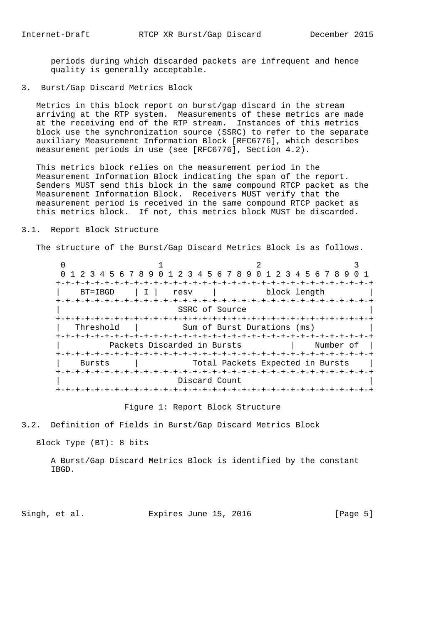periods during which discarded packets are infrequent and hence quality is generally acceptable.

3. Burst/Gap Discard Metrics Block

 Metrics in this block report on burst/gap discard in the stream arriving at the RTP system. Measurements of these metrics are made at the receiving end of the RTP stream. Instances of this metrics block use the synchronization source (SSRC) to refer to the separate auxiliary Measurement Information Block [RFC6776], which describes measurement periods in use (see [RFC6776], Section 4.2).

 This metrics block relies on the measurement period in the Measurement Information Block indicating the span of the report. Senders MUST send this block in the same compound RTCP packet as the Measurement Information Block. Receivers MUST verify that the measurement period is received in the same compound RTCP packet as this metrics block. If not, this metrics block MUST be discarded.

## 3.1. Report Block Structure

The structure of the Burst/Gap Discard Metrics Block is as follows.

 $0$  1 2 3 0 1 2 3 4 5 6 7 8 9 0 1 2 3 4 5 6 7 8 9 0 1 2 3 4 5 6 7 8 9 0 1 +-+-+-+-+-+-+-+-+-+-+-+-+-+-+-+-+-+-+-+-+-+-+-+-+-+-+-+-+-+-+-+-+ | BT=IBGD | I | resv | block length | +-+-+-+-+-+-+-+-+-+-+-+-+-+-+-+-+-+-+-+-+-+-+-+-+-+-+-+-+-+-+-+-+ SSRC of Source +-+-+-+-+-+-+-+-+-+-+-+-+-+-+-+-+-+-+-+-+-+-+-+-+-+-+-+-+-+-+-+-+ | Threshold | Sum of Burst Durations (ms) +-+-+-+-+-+-+-+-+-+-+-+-+-+-+-+-+-+-+-+-+-+-+-+-+-+-+-+-+-+-+-+-+ Packets Discarded in Bursts | Number of | +-+-+-+-+-+-+-+-+-+-+-+-+-+-+-+-+-+-+-+-+-+-+-+-+-+-+-+-+-+-+-+-+ | Bursts | Total Packets Expected in Bursts | +-+-+-+-+-+-+-+-+-+-+-+-+-+-+-+-+-+-+-+-+-+-+-+-+-+-+-+-+-+-+-+-+ Discard Count +-+-+-+-+-+-+-+-+-+-+-+-+-+-+-+-+-+-+-+-+-+-+-+-+-+-+-+-+-+-+-+-+

Figure 1: Report Block Structure

3.2. Definition of Fields in Burst/Gap Discard Metrics Block

Block Type (BT): 8 bits

 A Burst/Gap Discard Metrics Block is identified by the constant IBGD.

Singh, et al. Expires June 15, 2016 [Page 5]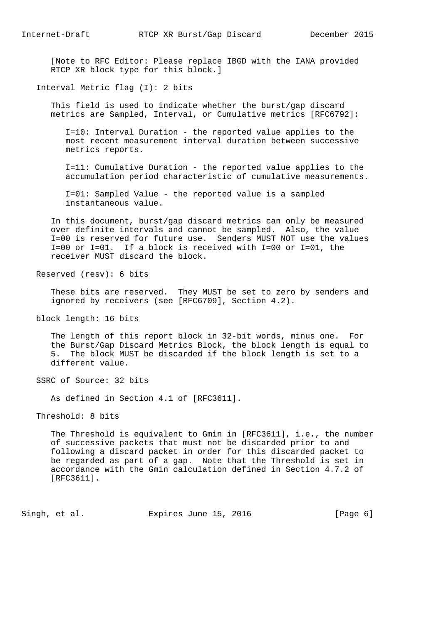[Note to RFC Editor: Please replace IBGD with the IANA provided RTCP XR block type for this block.]

Interval Metric flag (I): 2 bits

 This field is used to indicate whether the burst/gap discard metrics are Sampled, Interval, or Cumulative metrics [RFC6792]:

 I=10: Interval Duration - the reported value applies to the most recent measurement interval duration between successive metrics reports.

 I=11: Cumulative Duration - the reported value applies to the accumulation period characteristic of cumulative measurements.

 I=01: Sampled Value - the reported value is a sampled instantaneous value.

 In this document, burst/gap discard metrics can only be measured over definite intervals and cannot be sampled. Also, the value I=00 is reserved for future use. Senders MUST NOT use the values I=00 or I=01. If a block is received with I=00 or I=01, the receiver MUST discard the block.

Reserved (resv): 6 bits

 These bits are reserved. They MUST be set to zero by senders and ignored by receivers (see [RFC6709], Section 4.2).

block length: 16 bits

 The length of this report block in 32-bit words, minus one. For the Burst/Gap Discard Metrics Block, the block length is equal to 5. The block MUST be discarded if the block length is set to a different value.

SSRC of Source: 32 bits

As defined in Section 4.1 of [RFC3611].

Threshold: 8 bits

 The Threshold is equivalent to Gmin in [RFC3611], i.e., the number of successive packets that must not be discarded prior to and following a discard packet in order for this discarded packet to be regarded as part of a gap. Note that the Threshold is set in accordance with the Gmin calculation defined in Section 4.7.2 of [RFC3611].

Singh, et al. Expires June 15, 2016 [Page 6]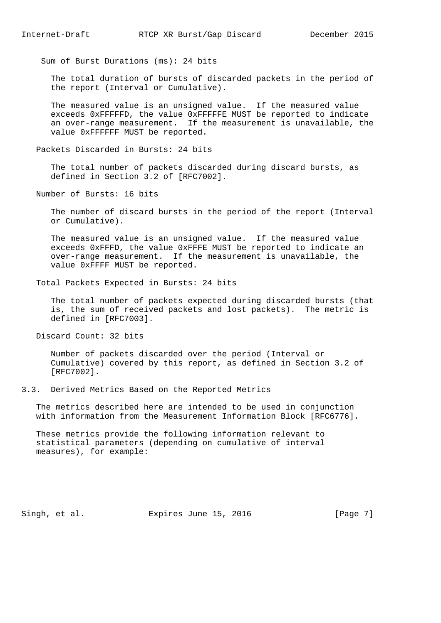Sum of Burst Durations (ms): 24 bits

 The total duration of bursts of discarded packets in the period of the report (Interval or Cumulative).

 The measured value is an unsigned value. If the measured value exceeds 0xFFFFFD, the value 0xFFFFFE MUST be reported to indicate an over-range measurement. If the measurement is unavailable, the value 0xFFFFFF MUST be reported.

Packets Discarded in Bursts: 24 bits

 The total number of packets discarded during discard bursts, as defined in Section 3.2 of [RFC7002].

Number of Bursts: 16 bits

 The number of discard bursts in the period of the report (Interval or Cumulative).

 The measured value is an unsigned value. If the measured value exceeds 0xFFFD, the value 0xFFFE MUST be reported to indicate an over-range measurement. If the measurement is unavailable, the value 0xFFFF MUST be reported.

Total Packets Expected in Bursts: 24 bits

 The total number of packets expected during discarded bursts (that is, the sum of received packets and lost packets). The metric is defined in [RFC7003].

Discard Count: 32 bits

 Number of packets discarded over the period (Interval or Cumulative) covered by this report, as defined in Section 3.2 of [RFC7002].

3.3. Derived Metrics Based on the Reported Metrics

 The metrics described here are intended to be used in conjunction with information from the Measurement Information Block [RFC6776].

 These metrics provide the following information relevant to statistical parameters (depending on cumulative of interval measures), for example:

Singh, et al. **Expires June 15, 2016** [Page 7]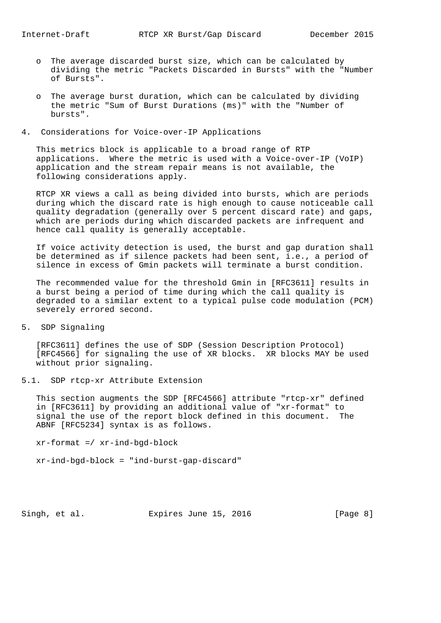- o The average discarded burst size, which can be calculated by dividing the metric "Packets Discarded in Bursts" with the "Number of Bursts".
- o The average burst duration, which can be calculated by dividing the metric "Sum of Burst Durations (ms)" with the "Number of bursts".
- 4. Considerations for Voice-over-IP Applications

 This metrics block is applicable to a broad range of RTP applications. Where the metric is used with a Voice-over-IP (VoIP) application and the stream repair means is not available, the following considerations apply.

 RTCP XR views a call as being divided into bursts, which are periods during which the discard rate is high enough to cause noticeable call quality degradation (generally over 5 percent discard rate) and gaps, which are periods during which discarded packets are infrequent and hence call quality is generally acceptable.

 If voice activity detection is used, the burst and gap duration shall be determined as if silence packets had been sent, i.e., a period of silence in excess of Gmin packets will terminate a burst condition.

 The recommended value for the threshold Gmin in [RFC3611] results in a burst being a period of time during which the call quality is degraded to a similar extent to a typical pulse code modulation (PCM) severely errored second.

5. SDP Signaling

 [RFC3611] defines the use of SDP (Session Description Protocol) [RFC4566] for signaling the use of XR blocks. XR blocks MAY be used without prior signaling.

5.1. SDP rtcp-xr Attribute Extension

 This section augments the SDP [RFC4566] attribute "rtcp-xr" defined in [RFC3611] by providing an additional value of "xr-format" to signal the use of the report block defined in this document. The ABNF [RFC5234] syntax is as follows.

xr-format =/ xr-ind-bgd-block

xr-ind-bgd-block = "ind-burst-gap-discard"

Singh, et al. Expires June 15, 2016 [Page 8]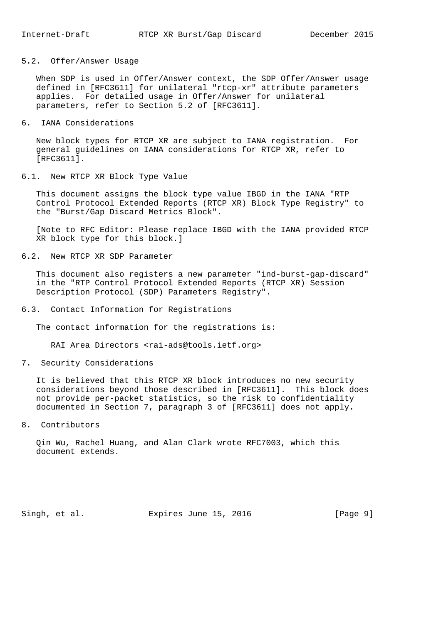## 5.2. Offer/Answer Usage

 When SDP is used in Offer/Answer context, the SDP Offer/Answer usage defined in [RFC3611] for unilateral "rtcp-xr" attribute parameters applies. For detailed usage in Offer/Answer for unilateral parameters, refer to Section 5.2 of [RFC3611].

#### 6. IANA Considerations

 New block types for RTCP XR are subject to IANA registration. For general guidelines on IANA considerations for RTCP XR, refer to [RFC3611].

## 6.1. New RTCP XR Block Type Value

 This document assigns the block type value IBGD in the IANA "RTP Control Protocol Extended Reports (RTCP XR) Block Type Registry" to the "Burst/Gap Discard Metrics Block".

 [Note to RFC Editor: Please replace IBGD with the IANA provided RTCP XR block type for this block.]

## 6.2. New RTCP XR SDP Parameter

 This document also registers a new parameter "ind-burst-gap-discard" in the "RTP Control Protocol Extended Reports (RTCP XR) Session Description Protocol (SDP) Parameters Registry".

6.3. Contact Information for Registrations

The contact information for the registrations is:

RAI Area Directors <rai-ads@tools.ietf.org>

7. Security Considerations

 It is believed that this RTCP XR block introduces no new security considerations beyond those described in [RFC3611]. This block does not provide per-packet statistics, so the risk to confidentiality documented in Section 7, paragraph 3 of [RFC3611] does not apply.

8. Contributors

 Qin Wu, Rachel Huang, and Alan Clark wrote RFC7003, which this document extends.

Singh, et al. Expires June 15, 2016 [Page 9]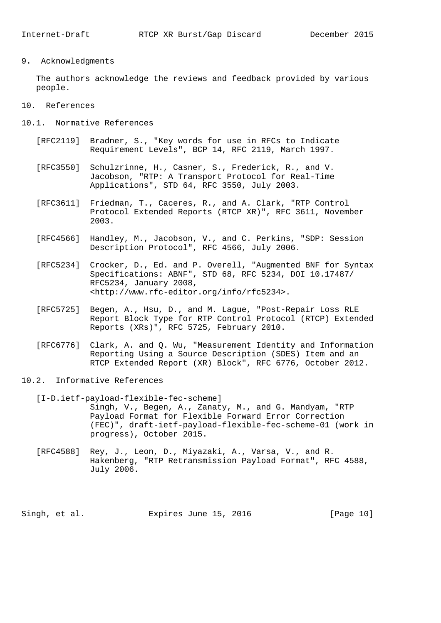9. Acknowledgments

 The authors acknowledge the reviews and feedback provided by various people.

- 10. References
- 10.1. Normative References
	- [RFC2119] Bradner, S., "Key words for use in RFCs to Indicate Requirement Levels", BCP 14, RFC 2119, March 1997.
	- [RFC3550] Schulzrinne, H., Casner, S., Frederick, R., and V. Jacobson, "RTP: A Transport Protocol for Real-Time Applications", STD 64, RFC 3550, July 2003.
	- [RFC3611] Friedman, T., Caceres, R., and A. Clark, "RTP Control Protocol Extended Reports (RTCP XR)", RFC 3611, November 2003.
	- [RFC4566] Handley, M., Jacobson, V., and C. Perkins, "SDP: Session Description Protocol", RFC 4566, July 2006.
	- [RFC5234] Crocker, D., Ed. and P. Overell, "Augmented BNF for Syntax Specifications: ABNF", STD 68, RFC 5234, DOI 10.17487/ RFC5234, January 2008, <http://www.rfc-editor.org/info/rfc5234>.
	- [RFC5725] Begen, A., Hsu, D., and M. Lague, "Post-Repair Loss RLE Report Block Type for RTP Control Protocol (RTCP) Extended Reports (XRs)", RFC 5725, February 2010.
	- [RFC6776] Clark, A. and Q. Wu, "Measurement Identity and Information Reporting Using a Source Description (SDES) Item and an RTCP Extended Report (XR) Block", RFC 6776, October 2012.
- 10.2. Informative References
	- [I-D.ietf-payload-flexible-fec-scheme] Singh, V., Begen, A., Zanaty, M., and G. Mandyam, "RTP Payload Format for Flexible Forward Error Correction (FEC)", draft-ietf-payload-flexible-fec-scheme-01 (work in progress), October 2015.
	- [RFC4588] Rey, J., Leon, D., Miyazaki, A., Varsa, V., and R. Hakenberg, "RTP Retransmission Payload Format", RFC 4588, July 2006.

Singh, et al. Expires June 15, 2016 [Page 10]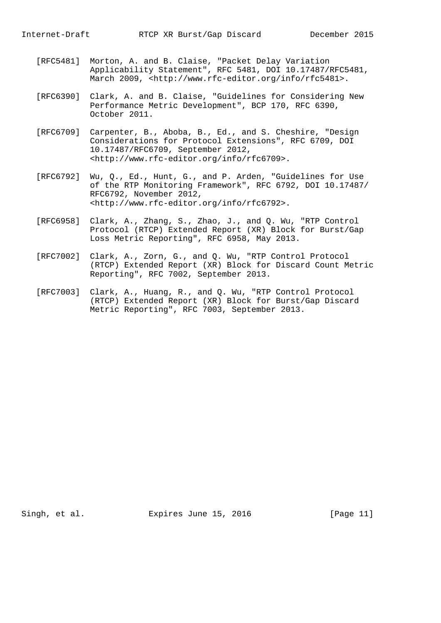- [RFC5481] Morton, A. and B. Claise, "Packet Delay Variation Applicability Statement", RFC 5481, DOI 10.17487/RFC5481, March 2009, <http://www.rfc-editor.org/info/rfc5481>.
- [RFC6390] Clark, A. and B. Claise, "Guidelines for Considering New Performance Metric Development", BCP 170, RFC 6390, October 2011.
- [RFC6709] Carpenter, B., Aboba, B., Ed., and S. Cheshire, "Design Considerations for Protocol Extensions", RFC 6709, DOI 10.17487/RFC6709, September 2012, <http://www.rfc-editor.org/info/rfc6709>.
- [RFC6792] Wu, Q., Ed., Hunt, G., and P. Arden, "Guidelines for Use of the RTP Monitoring Framework", RFC 6792, DOI 10.17487/ RFC6792, November 2012, <http://www.rfc-editor.org/info/rfc6792>.
- [RFC6958] Clark, A., Zhang, S., Zhao, J., and Q. Wu, "RTP Control Protocol (RTCP) Extended Report (XR) Block for Burst/Gap Loss Metric Reporting", RFC 6958, May 2013.
- [RFC7002] Clark, A., Zorn, G., and Q. Wu, "RTP Control Protocol (RTCP) Extended Report (XR) Block for Discard Count Metric Reporting", RFC 7002, September 2013.
- [RFC7003] Clark, A., Huang, R., and Q. Wu, "RTP Control Protocol (RTCP) Extended Report (XR) Block for Burst/Gap Discard Metric Reporting", RFC 7003, September 2013.

Singh, et al. **Expires June 15, 2016** [Page 11]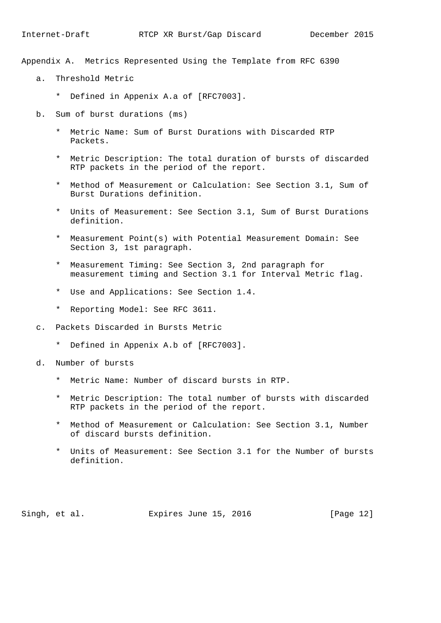Appendix A. Metrics Represented Using the Template from RFC 6390

- a. Threshold Metric
	- \* Defined in Appenix A.a of [RFC7003].
- b. Sum of burst durations (ms)
	- \* Metric Name: Sum of Burst Durations with Discarded RTP Packets.
	- \* Metric Description: The total duration of bursts of discarded RTP packets in the period of the report.
	- \* Method of Measurement or Calculation: See Section 3.1, Sum of Burst Durations definition.
	- \* Units of Measurement: See Section 3.1, Sum of Burst Durations definition.
	- \* Measurement Point(s) with Potential Measurement Domain: See Section 3, 1st paragraph.
	- \* Measurement Timing: See Section 3, 2nd paragraph for measurement timing and Section 3.1 for Interval Metric flag.
	- \* Use and Applications: See Section 1.4.
	- \* Reporting Model: See RFC 3611.
- c. Packets Discarded in Bursts Metric
	- \* Defined in Appenix A.b of [RFC7003].
- d. Number of bursts
	- \* Metric Name: Number of discard bursts in RTP.
	- \* Metric Description: The total number of bursts with discarded RTP packets in the period of the report.
	- \* Method of Measurement or Calculation: See Section 3.1, Number of discard bursts definition.
	- \* Units of Measurement: See Section 3.1 for the Number of bursts definition.

Singh, et al. Expires June 15, 2016 [Page 12]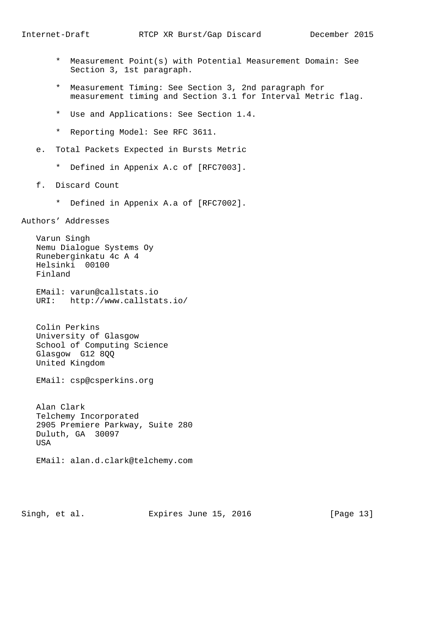- \* Measurement Point(s) with Potential Measurement Domain: See Section 3, 1st paragraph.
- \* Measurement Timing: See Section 3, 2nd paragraph for measurement timing and Section 3.1 for Interval Metric flag.
- \* Use and Applications: See Section 1.4.
- \* Reporting Model: See RFC 3611.
- e. Total Packets Expected in Bursts Metric
	- \* Defined in Appenix A.c of [RFC7003].
- f. Discard Count
	- \* Defined in Appenix A.a of [RFC7002].

Authors' Addresses

 Varun Singh Nemu Dialogue Systems Oy Runeberginkatu 4c A 4 Helsinki 00100 Finland

 EMail: varun@callstats.io URI: http://www.callstats.io/

 Colin Perkins University of Glasgow School of Computing Science Glasgow G12 8QQ United Kingdom

EMail: csp@csperkins.org

 Alan Clark Telchemy Incorporated 2905 Premiere Parkway, Suite 280 Duluth, GA 30097 **TISA** 

EMail: alan.d.clark@telchemy.com

Singh, et al. Expires June 15, 2016 [Page 13]